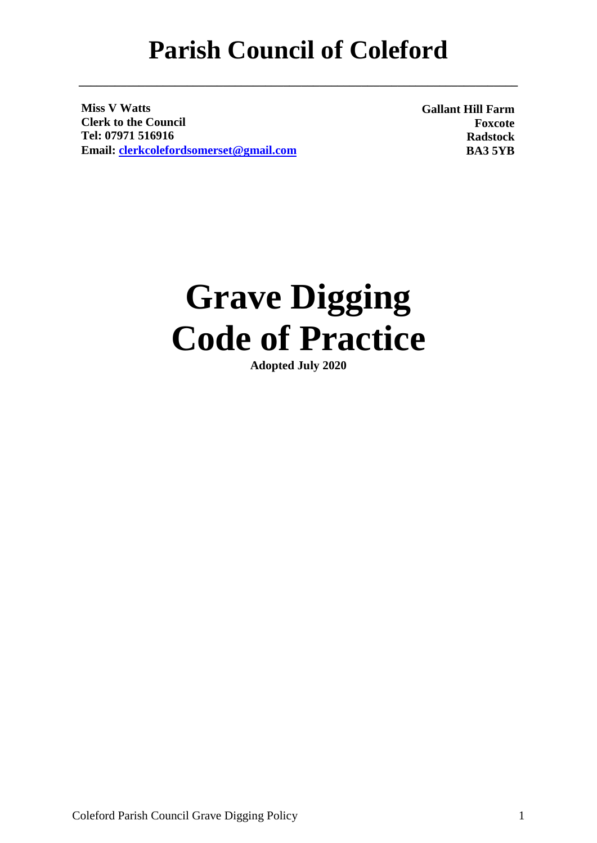**\_\_\_\_\_\_\_\_\_\_\_\_\_\_\_\_\_\_\_\_\_\_\_\_\_\_\_\_\_\_\_\_\_\_\_\_\_\_\_\_\_\_\_\_\_\_\_\_\_\_\_\_\_\_\_\_\_\_\_\_\_\_\_\_\_\_\_\_\_\_\_\_\_**

**Miss V Watts Clerk to the Council Tel: 07971 516916 Email: [clerkcolefordsomerset@gmail.com](mailto:clerkcolefordsomerset@gmail.com)** **Gallant Hill Farm Foxcote Radstock BA3 5YB**

# **Grave Digging Code of Practice**

**Adopted July 2020**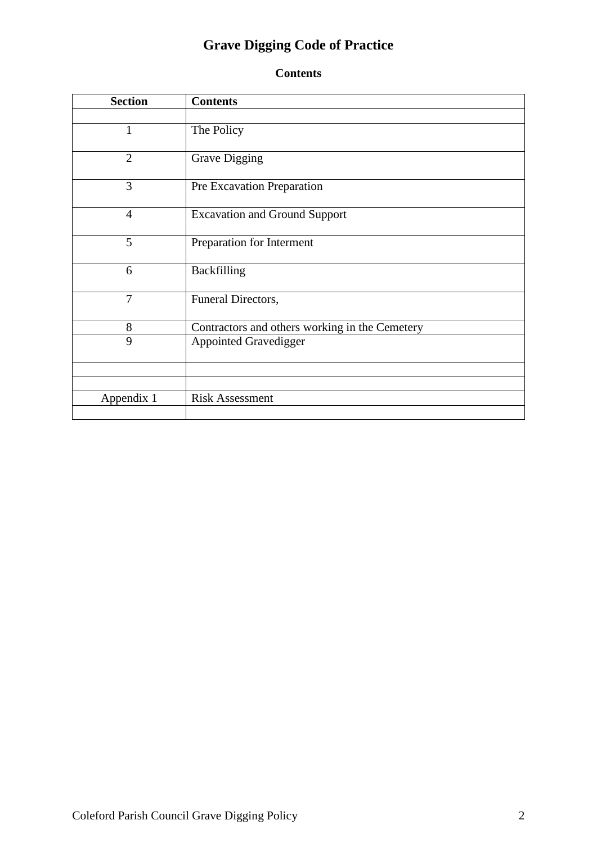# **Grave Digging Code of Practice**

# **Contents**

| <b>Section</b> | <b>Contents</b>                                |
|----------------|------------------------------------------------|
|                |                                                |
| 1              | The Policy                                     |
| $\overline{2}$ | <b>Grave Digging</b>                           |
| 3              | Pre Excavation Preparation                     |
| $\overline{4}$ | <b>Excavation and Ground Support</b>           |
| 5              | Preparation for Interment                      |
| 6              | Backfilling                                    |
| 7              | Funeral Directors,                             |
| 8              | Contractors and others working in the Cemetery |
| 9              | <b>Appointed Gravedigger</b>                   |
|                |                                                |
|                |                                                |
| Appendix 1     | <b>Risk Assessment</b>                         |
|                |                                                |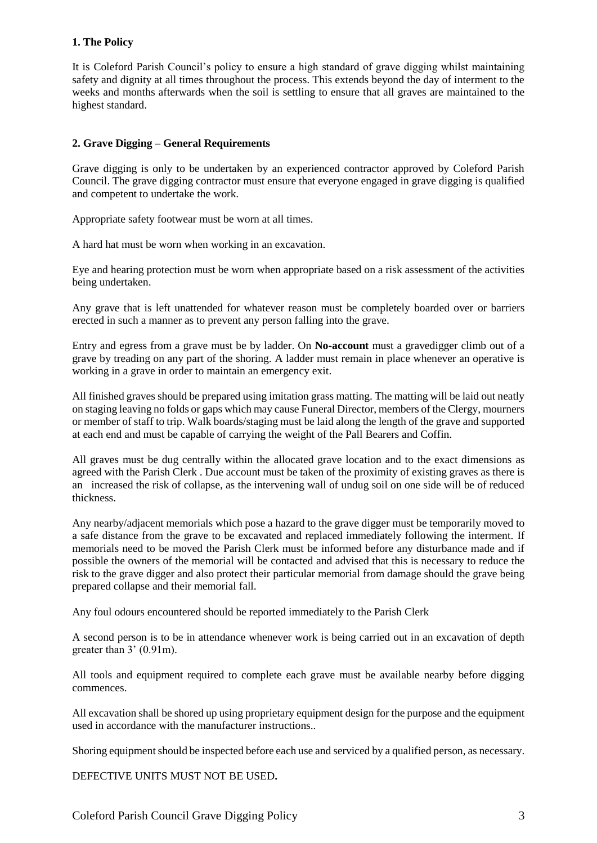## **1. The Policy**

It is Coleford Parish Council's policy to ensure a high standard of grave digging whilst maintaining safety and dignity at all times throughout the process. This extends beyond the day of interment to the weeks and months afterwards when the soil is settling to ensure that all graves are maintained to the highest standard.

#### **2. Grave Digging – General Requirements**

Grave digging is only to be undertaken by an experienced contractor approved by Coleford Parish Council. The grave digging contractor must ensure that everyone engaged in grave digging is qualified and competent to undertake the work.

Appropriate safety footwear must be worn at all times.

A hard hat must be worn when working in an excavation.

Eye and hearing protection must be worn when appropriate based on a risk assessment of the activities being undertaken.

Any grave that is left unattended for whatever reason must be completely boarded over or barriers erected in such a manner as to prevent any person falling into the grave.

Entry and egress from a grave must be by ladder. On **No-account** must a gravedigger climb out of a grave by treading on any part of the shoring. A ladder must remain in place whenever an operative is working in a grave in order to maintain an emergency exit.

All finished graves should be prepared using imitation grass matting. The matting will be laid out neatly on staging leaving no folds or gaps which may cause Funeral Director, members of the Clergy, mourners or member of staff to trip. Walk boards/staging must be laid along the length of the grave and supported at each end and must be capable of carrying the weight of the Pall Bearers and Coffin.

All graves must be dug centrally within the allocated grave location and to the exact dimensions as agreed with the Parish Clerk . Due account must be taken of the proximity of existing graves as there is an increased the risk of collapse, as the intervening wall of undug soil on one side will be of reduced thickness.

Any nearby/adjacent memorials which pose a hazard to the grave digger must be temporarily moved to a safe distance from the grave to be excavated and replaced immediately following the interment. If memorials need to be moved the Parish Clerk must be informed before any disturbance made and if possible the owners of the memorial will be contacted and advised that this is necessary to reduce the risk to the grave digger and also protect their particular memorial from damage should the grave being prepared collapse and their memorial fall.

Any foul odours encountered should be reported immediately to the Parish Clerk

A second person is to be in attendance whenever work is being carried out in an excavation of depth greater than 3' (0.91m).

All tools and equipment required to complete each grave must be available nearby before digging commences.

All excavation shall be shored up using proprietary equipment design for the purpose and the equipment used in accordance with the manufacturer instructions..

Shoring equipment should be inspected before each use and serviced by a qualified person, as necessary.

DEFECTIVE UNITS MUST NOT BE USED**.**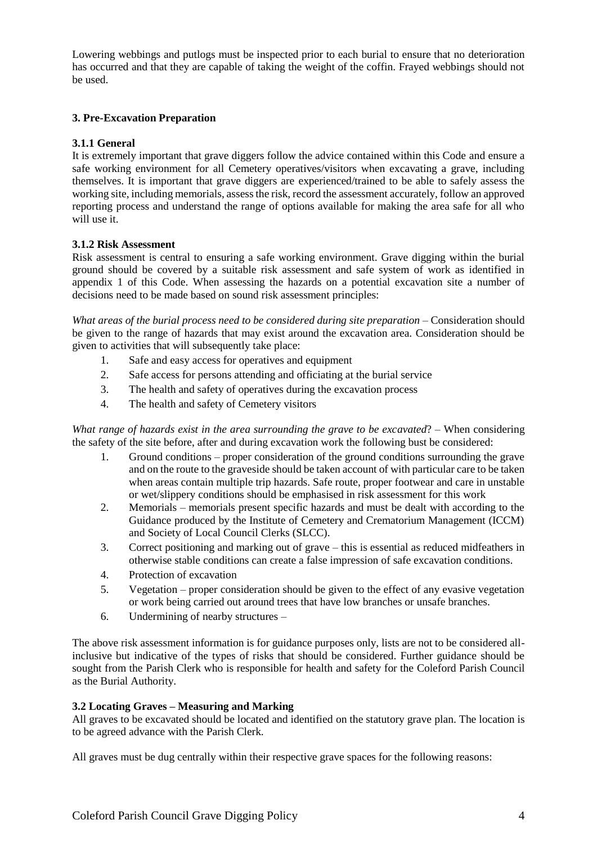Lowering webbings and putlogs must be inspected prior to each burial to ensure that no deterioration has occurred and that they are capable of taking the weight of the coffin. Frayed webbings should not be used.

## **3. Pre-Excavation Preparation**

#### **3.1.1 General**

It is extremely important that grave diggers follow the advice contained within this Code and ensure a safe working environment for all Cemetery operatives/visitors when excavating a grave, including themselves. It is important that grave diggers are experienced/trained to be able to safely assess the working site, including memorials, assess the risk, record the assessment accurately, follow an approved reporting process and understand the range of options available for making the area safe for all who will use it.

#### **3.1.2 Risk Assessment**

Risk assessment is central to ensuring a safe working environment. Grave digging within the burial ground should be covered by a suitable risk assessment and safe system of work as identified in appendix 1 of this Code. When assessing the hazards on a potential excavation site a number of decisions need to be made based on sound risk assessment principles:

What areas of the burial process need to be considered during site preparation – Consideration should be given to the range of hazards that may exist around the excavation area. Consideration should be given to activities that will subsequently take place:

- 1. Safe and easy access for operatives and equipment
- 2. Safe access for persons attending and officiating at the burial service
- 3. The health and safety of operatives during the excavation process
- 4. The health and safety of Cemetery visitors

*What range of hazards exist in the area surrounding the grave to be excavated*? *–* When considering the safety of the site before, after and during excavation work the following bust be considered:

- 1. Ground conditions proper consideration of the ground conditions surrounding the grave and on the route to the graveside should be taken account of with particular care to be taken when areas contain multiple trip hazards. Safe route, proper footwear and care in unstable or wet/slippery conditions should be emphasised in risk assessment for this work
- 2. Memorials memorials present specific hazards and must be dealt with according to the Guidance produced by the Institute of Cemetery and Crematorium Management (ICCM) and Society of Local Council Clerks (SLCC).
- 3. Correct positioning and marking out of grave this is essential as reduced midfeathers in otherwise stable conditions can create a false impression of safe excavation conditions.
- 4. Protection of excavation
- 5. Vegetation proper consideration should be given to the effect of any evasive vegetation or work being carried out around trees that have low branches or unsafe branches.
- 6. Undermining of nearby structures –

The above risk assessment information is for guidance purposes only, lists are not to be considered allinclusive but indicative of the types of risks that should be considered. Further guidance should be sought from the Parish Clerk who is responsible for health and safety for the Coleford Parish Council as the Burial Authority.

#### **3.2 Locating Graves – Measuring and Marking**

All graves to be excavated should be located and identified on the statutory grave plan. The location is to be agreed advance with the Parish Clerk.

All graves must be dug centrally within their respective grave spaces for the following reasons: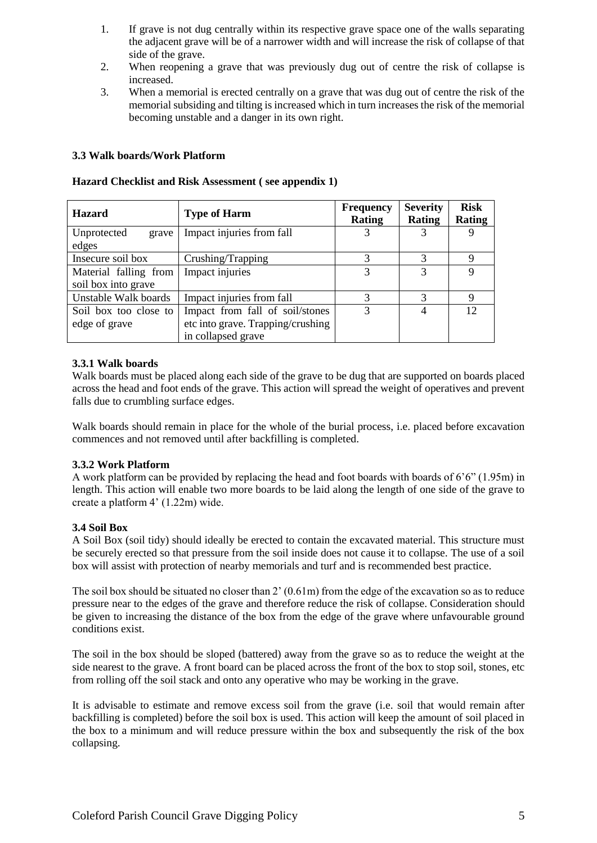- 1. If grave is not dug centrally within its respective grave space one of the walls separating the adjacent grave will be of a narrower width and will increase the risk of collapse of that side of the grave.
- 2. When reopening a grave that was previously dug out of centre the risk of collapse is increased.
- 3. When a memorial is erected centrally on a grave that was dug out of centre the risk of the memorial subsiding and tilting is increased which in turn increases the risk of the memorial becoming unstable and a danger in its own right.

#### **3.3 Walk boards/Work Platform**

| <b>Hazard</b>                                | <b>Type of Harm</b>                                                                        | <b>Frequency</b><br><b>Rating</b> | <b>Severity</b><br><b>Rating</b> | <b>Risk</b><br>Rating |
|----------------------------------------------|--------------------------------------------------------------------------------------------|-----------------------------------|----------------------------------|-----------------------|
| Unprotected<br>grave<br>edges                | Impact injuries from fall                                                                  |                                   |                                  | 9                     |
| Insecure soil box                            | Crushing/Trapping                                                                          | 3                                 | 3                                | $\mathbf Q$           |
| Material falling from<br>soil box into grave | Impact injuries                                                                            | 3                                 | 3                                | 9                     |
| Unstable Walk boards                         | Impact injuries from fall                                                                  | 3                                 | 3                                | 9                     |
| Soil box too close to<br>edge of grave       | Impact from fall of soil/stones<br>etc into grave. Trapping/crushing<br>in collapsed grave | 3                                 | 4                                | 12                    |

## **Hazard Checklist and Risk Assessment ( see appendix 1)**

#### **3.3.1 Walk boards**

Walk boards must be placed along each side of the grave to be dug that are supported on boards placed across the head and foot ends of the grave. This action will spread the weight of operatives and prevent falls due to crumbling surface edges.

Walk boards should remain in place for the whole of the burial process, i.e. placed before excavation commences and not removed until after backfilling is completed.

#### **3.3.2 Work Platform**

A work platform can be provided by replacing the head and foot boards with boards of 6'6" (1.95m) in length. This action will enable two more boards to be laid along the length of one side of the grave to create a platform 4' (1.22m) wide.

# **3.4 Soil Box**

A Soil Box (soil tidy) should ideally be erected to contain the excavated material. This structure must be securely erected so that pressure from the soil inside does not cause it to collapse. The use of a soil box will assist with protection of nearby memorials and turf and is recommended best practice.

The soil box should be situated no closer than 2' (0.61m) from the edge of the excavation so as to reduce pressure near to the edges of the grave and therefore reduce the risk of collapse. Consideration should be given to increasing the distance of the box from the edge of the grave where unfavourable ground conditions exist.

The soil in the box should be sloped (battered) away from the grave so as to reduce the weight at the side nearest to the grave. A front board can be placed across the front of the box to stop soil, stones, etc from rolling off the soil stack and onto any operative who may be working in the grave.

It is advisable to estimate and remove excess soil from the grave (i.e. soil that would remain after backfilling is completed) before the soil box is used. This action will keep the amount of soil placed in the box to a minimum and will reduce pressure within the box and subsequently the risk of the box collapsing.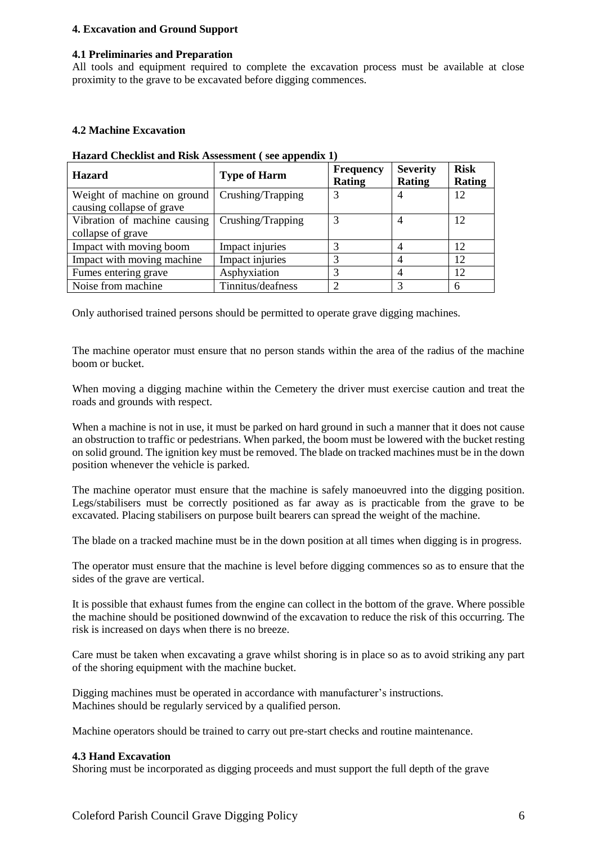#### **4. Excavation and Ground Support**

#### **4.1 Preliminaries and Preparation**

All tools and equipment required to complete the excavation process must be available at close proximity to the grave to be excavated before digging commences.

#### **4.2 Machine Excavation**

| <b>Hazard</b>                                            | <b>Type of Harm</b> | <b>Frequency</b><br><b>Rating</b> | <b>Severity</b><br><b>Rating</b> | <b>Risk</b><br>Rating |
|----------------------------------------------------------|---------------------|-----------------------------------|----------------------------------|-----------------------|
| Weight of machine on ground<br>causing collapse of grave | Crushing/Trapping   |                                   | 4                                | 12                    |
| Vibration of machine causing<br>collapse of grave        | Crushing/Trapping   |                                   | 4                                | 12                    |
| Impact with moving boom                                  | Impact injuries     |                                   | 4                                | 12                    |
| Impact with moving machine                               | Impact injuries     |                                   | 4                                | 12                    |
| Fumes entering grave                                     | Asphyxiation        |                                   |                                  | 12                    |
| Noise from machine                                       | Tinnitus/deafness   |                                   | 3                                | 6                     |

#### **Hazard Checklist and Risk Assessment ( see appendix 1)**

Only authorised trained persons should be permitted to operate grave digging machines.

The machine operator must ensure that no person stands within the area of the radius of the machine boom or bucket.

When moving a digging machine within the Cemetery the driver must exercise caution and treat the roads and grounds with respect.

When a machine is not in use, it must be parked on hard ground in such a manner that it does not cause an obstruction to traffic or pedestrians. When parked, the boom must be lowered with the bucket resting on solid ground. The ignition key must be removed. The blade on tracked machines must be in the down position whenever the vehicle is parked.

The machine operator must ensure that the machine is safely manoeuvred into the digging position. Legs/stabilisers must be correctly positioned as far away as is practicable from the grave to be excavated. Placing stabilisers on purpose built bearers can spread the weight of the machine.

The blade on a tracked machine must be in the down position at all times when digging is in progress.

The operator must ensure that the machine is level before digging commences so as to ensure that the sides of the grave are vertical.

It is possible that exhaust fumes from the engine can collect in the bottom of the grave. Where possible the machine should be positioned downwind of the excavation to reduce the risk of this occurring. The risk is increased on days when there is no breeze.

Care must be taken when excavating a grave whilst shoring is in place so as to avoid striking any part of the shoring equipment with the machine bucket.

Digging machines must be operated in accordance with manufacturer's instructions. Machines should be regularly serviced by a qualified person.

Machine operators should be trained to carry out pre-start checks and routine maintenance.

#### **4.3 Hand Excavation**

Shoring must be incorporated as digging proceeds and must support the full depth of the grave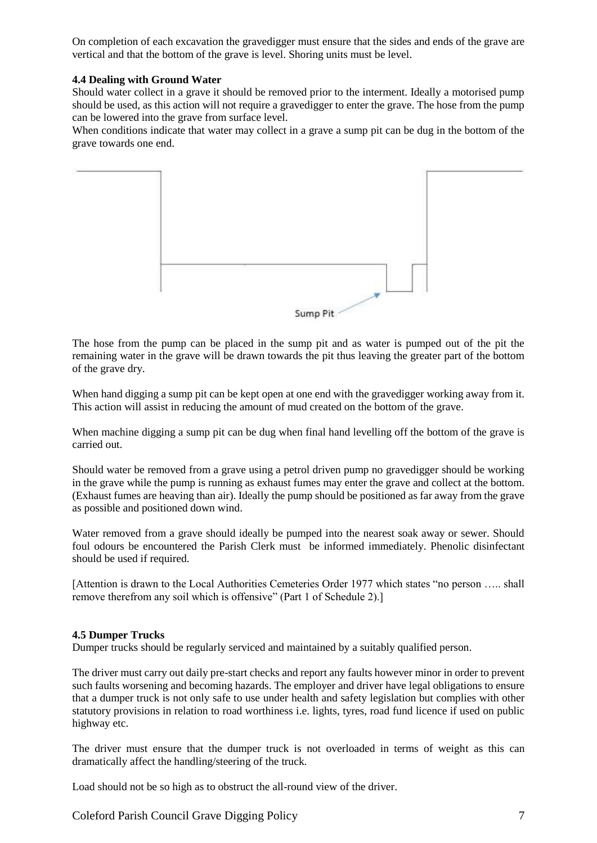On completion of each excavation the gravedigger must ensure that the sides and ends of the grave are vertical and that the bottom of the grave is level. Shoring units must be level.

#### **4.4 Dealing with Ground Water**

Should water collect in a grave it should be removed prior to the interment. Ideally a motorised pump should be used, as this action will not require a gravedigger to enter the grave. The hose from the pump can be lowered into the grave from surface level.

When conditions indicate that water may collect in a grave a sump pit can be dug in the bottom of the grave towards one end.



The hose from the pump can be placed in the sump pit and as water is pumped out of the pit the remaining water in the grave will be drawn towards the pit thus leaving the greater part of the bottom of the grave dry.

When hand digging a sump pit can be kept open at one end with the gravedigger working away from it. This action will assist in reducing the amount of mud created on the bottom of the grave.

When machine digging a sump pit can be dug when final hand levelling off the bottom of the grave is carried out.

Should water be removed from a grave using a petrol driven pump no gravedigger should be working in the grave while the pump is running as exhaust fumes may enter the grave and collect at the bottom. (Exhaust fumes are heaving than air). Ideally the pump should be positioned as far away from the grave as possible and positioned down wind.

Water removed from a grave should ideally be pumped into the nearest soak away or sewer. Should foul odours be encountered the Parish Clerk must be informed immediately. Phenolic disinfectant should be used if required.

[Attention is drawn to the Local Authorities Cemeteries Order 1977 which states "no person ….. shall remove therefrom any soil which is offensive" (Part 1 of Schedule 2).]

#### **4.5 Dumper Trucks**

Dumper trucks should be regularly serviced and maintained by a suitably qualified person.

The driver must carry out daily pre-start checks and report any faults however minor in order to prevent such faults worsening and becoming hazards. The employer and driver have legal obligations to ensure that a dumper truck is not only safe to use under health and safety legislation but complies with other statutory provisions in relation to road worthiness i.e. lights, tyres, road fund licence if used on public highway etc.

The driver must ensure that the dumper truck is not overloaded in terms of weight as this can dramatically affect the handling/steering of the truck.

Load should not be so high as to obstruct the all-round view of the driver.

Coleford Parish Council Grave Digging Policy 7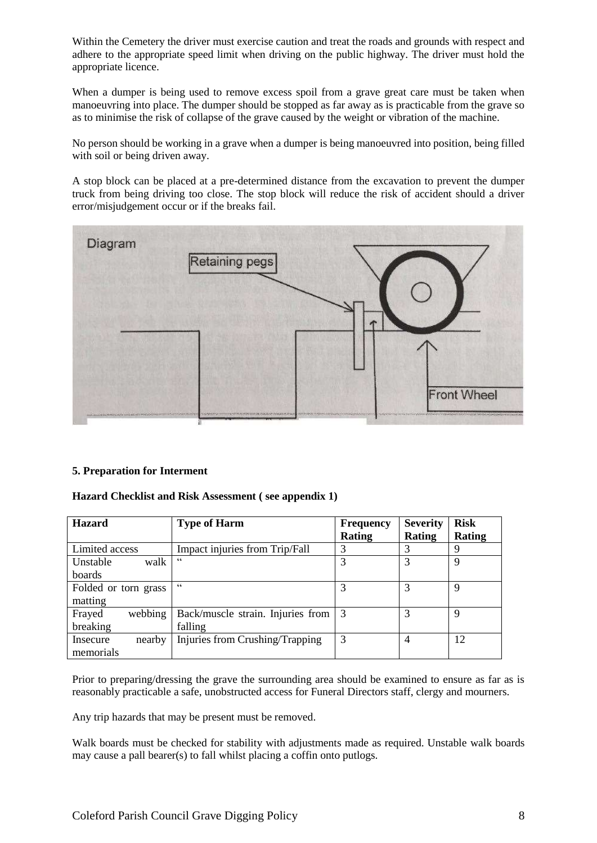Within the Cemetery the driver must exercise caution and treat the roads and grounds with respect and adhere to the appropriate speed limit when driving on the public highway. The driver must hold the appropriate licence.

When a dumper is being used to remove excess spoil from a grave great care must be taken when manoeuvring into place. The dumper should be stopped as far away as is practicable from the grave so as to minimise the risk of collapse of the grave caused by the weight or vibration of the machine.

No person should be working in a grave when a dumper is being manoeuvred into position, being filled with soil or being driven away.

A stop block can be placed at a pre-determined distance from the excavation to prevent the dumper truck from being driving too close. The stop block will reduce the risk of accident should a driver error/misjudgement occur or if the breaks fail.



#### **5. Preparation for Interment**

#### **Hazard Checklist and Risk Assessment ( see appendix 1)**

| <b>Hazard</b>        | <b>Type of Harm</b>               | <b>Frequency</b> | <b>Severity</b> | <b>Risk</b>   |
|----------------------|-----------------------------------|------------------|-----------------|---------------|
|                      |                                   | <b>Rating</b>    | Rating          | <b>Rating</b> |
| Limited access       | Impact injuries from Trip/Fall    | 3                | 3               | 9             |
| walk<br>Unstable     | C C                               | 3                | 3               | 9             |
| boards               |                                   |                  |                 |               |
| Folded or torn grass | C C                               | 3                | 3               | 9             |
| matting              |                                   |                  |                 |               |
| webbing<br>Frayed    | Back/muscle strain. Injuries from | $\perp$ 3        | 3               | 9             |
| breaking             | falling                           |                  |                 |               |
| nearby<br>Insecure   | Injuries from Crushing/Trapping   | 3                | $\overline{4}$  | 12            |
| memorials            |                                   |                  |                 |               |

Prior to preparing/dressing the grave the surrounding area should be examined to ensure as far as is reasonably practicable a safe, unobstructed access for Funeral Directors staff, clergy and mourners.

Any trip hazards that may be present must be removed.

Walk boards must be checked for stability with adjustments made as required. Unstable walk boards may cause a pall bearer(s) to fall whilst placing a coffin onto putlogs.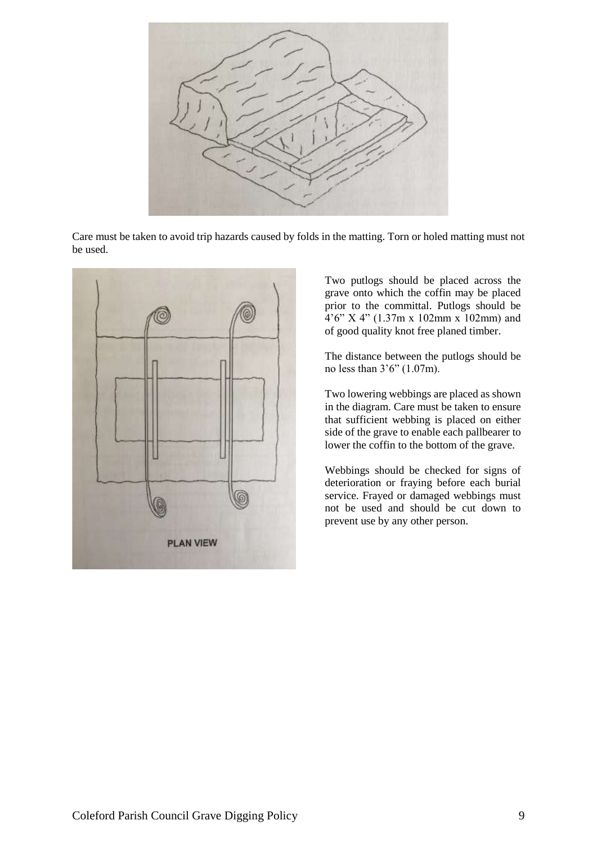

Care must be taken to avoid trip hazards caused by folds in the matting. Torn or holed matting must not be used.



Two putlogs should be placed across the grave onto which the coffin may be placed prior to the committal. Putlogs should be 4'6" X 4" (1.37m x 102mm x 102mm) and of good quality knot free planed timber.

The distance between the putlogs should be no less than 3'6" (1.07m).

Two lowering webbings are placed as shown in the diagram. Care must be taken to ensure that sufficient webbing is placed on either side of the grave to enable each pallbearer to lower the coffin to the bottom of the grave.

Webbings should be checked for signs of deterioration or fraying before each burial service. Frayed or damaged webbings must not be used and should be cut down to prevent use by any other person.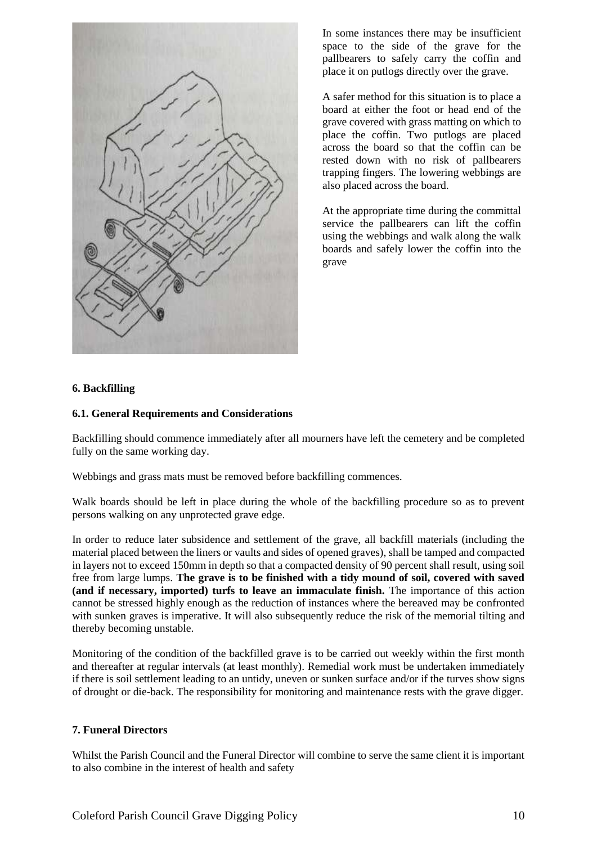

In some instances there may be insufficient space to the side of the grave for the pallbearers to safely carry the coffin and place it on putlogs directly over the grave.

A safer method for this situation is to place a board at either the foot or head end of the grave covered with grass matting on which to place the coffin. Two putlogs are placed across the board so that the coffin can be rested down with no risk of pallbearers trapping fingers. The lowering webbings are also placed across the board.

At the appropriate time during the committal service the pallbearers can lift the coffin using the webbings and walk along the walk boards and safely lower the coffin into the grave

#### **6. Backfilling**

#### **6.1. General Requirements and Considerations**

Backfilling should commence immediately after all mourners have left the cemetery and be completed fully on the same working day.

Webbings and grass mats must be removed before backfilling commences.

Walk boards should be left in place during the whole of the backfilling procedure so as to prevent persons walking on any unprotected grave edge.

In order to reduce later subsidence and settlement of the grave, all backfill materials (including the material placed between the liners or vaults and sides of opened graves), shall be tamped and compacted in layers not to exceed 150mm in depth so that a compacted density of 90 percent shall result, using soil free from large lumps. **The grave is to be finished with a tidy mound of soil, covered with saved (and if necessary, imported) turfs to leave an immaculate finish.** The importance of this action cannot be stressed highly enough as the reduction of instances where the bereaved may be confronted with sunken graves is imperative. It will also subsequently reduce the risk of the memorial tilting and thereby becoming unstable.

Monitoring of the condition of the backfilled grave is to be carried out weekly within the first month and thereafter at regular intervals (at least monthly). Remedial work must be undertaken immediately if there is soil settlement leading to an untidy, uneven or sunken surface and/or if the turves show signs of drought or die-back. The responsibility for monitoring and maintenance rests with the grave digger.

#### **7. Funeral Directors**

Whilst the Parish Council and the Funeral Director will combine to serve the same client it is important to also combine in the interest of health and safety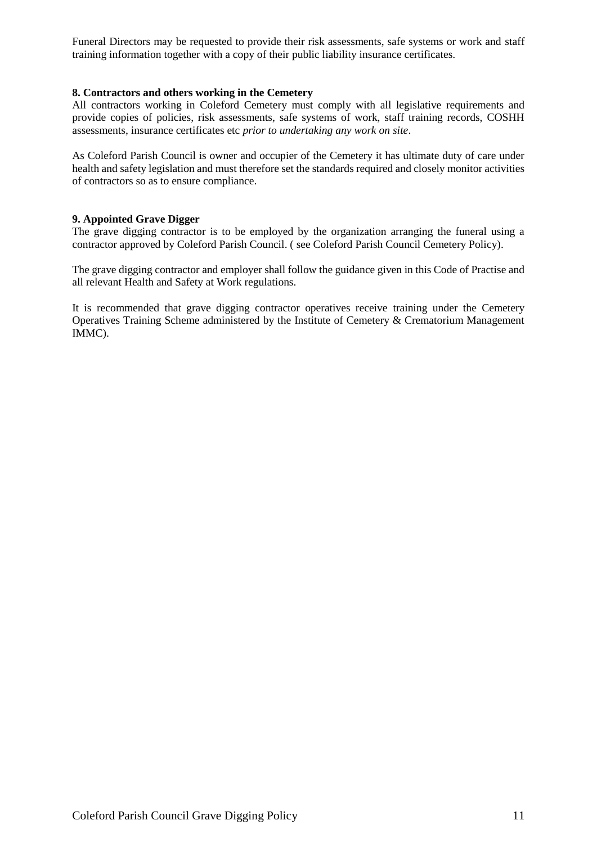Funeral Directors may be requested to provide their risk assessments, safe systems or work and staff training information together with a copy of their public liability insurance certificates.

#### **8. Contractors and others working in the Cemetery**

All contractors working in Coleford Cemetery must comply with all legislative requirements and provide copies of policies, risk assessments, safe systems of work, staff training records, COSHH assessments, insurance certificates etc *prior to undertaking any work on site*.

As Coleford Parish Council is owner and occupier of the Cemetery it has ultimate duty of care under health and safety legislation and must therefore set the standards required and closely monitor activities of contractors so as to ensure compliance.

#### **9. Appointed Grave Digger**

The grave digging contractor is to be employed by the organization arranging the funeral using a contractor approved by Coleford Parish Council. ( see Coleford Parish Council Cemetery Policy).

The grave digging contractor and employer shall follow the guidance given in this Code of Practise and all relevant Health and Safety at Work regulations.

It is recommended that grave digging contractor operatives receive training under the Cemetery Operatives Training Scheme administered by the Institute of Cemetery & Crematorium Management IMMC).